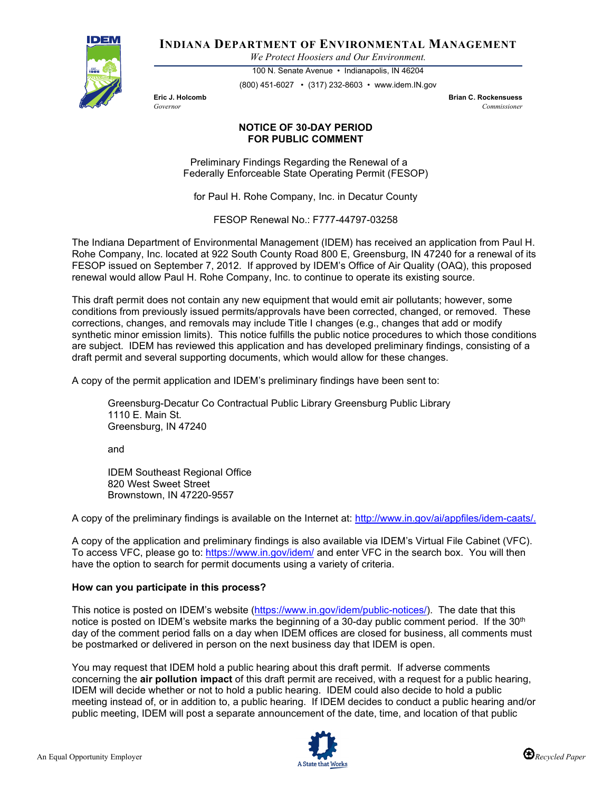

**INDIANA DEPARTMENT OF ENVIRONMENTAL MANAGEMENT**

*We Protect Hoosiers and Our Environment.*

100 N. Senate Avenue • Indianapolis, IN 46204 (800) 451-6027 • (317) 232-8603 • www.idem.IN.gov

**Eric J. Holcomb Brian C. Rockensuess** *Governor Commissioner* 

## **NOTICE OF 30-DAY PERIOD FOR PUBLIC COMMENT**

Preliminary Findings Regarding the Renewal of a Federally Enforceable State Operating Permit (FESOP)

for Paul H. Rohe Company, Inc. in Decatur County

FESOP Renewal No.: F777-44797-03258

The Indiana Department of Environmental Management (IDEM) has received an application from Paul H. Rohe Company, Inc. located at 922 South County Road 800 E, Greensburg, IN 47240 for a renewal of its FESOP issued on September 7, 2012. If approved by IDEM's Office of Air Quality (OAQ), this proposed renewal would allow Paul H. Rohe Company, Inc. to continue to operate its existing source.

This draft permit does not contain any new equipment that would emit air pollutants; however, some conditions from previously issued permits/approvals have been corrected, changed, or removed. These corrections, changes, and removals may include Title I changes (e.g., changes that add or modify synthetic minor emission limits). This notice fulfills the public notice procedures to which those conditions are subject. IDEM has reviewed this application and has developed preliminary findings, consisting of a draft permit and several supporting documents, which would allow for these changes.

A copy of the permit application and IDEM's preliminary findings have been sent to:

Greensburg-Decatur Co Contractual Public Library Greensburg Public Library 1110 E. Main St. Greensburg, IN 47240

and

IDEM Southeast Regional Office 820 West Sweet Street Brownstown, IN 47220-9557

A copy of the preliminary findings is available on the Internet at: [http://www.in.gov/ai/appfiles/idem-caats/.](http://www.in.gov/ai/appfiles/idem-caats/)

A copy of the application and preliminary findings is also available via IDEM's Virtual File Cabinet (VFC). To access VFC, please go to:<https://www.in.gov/idem/> and enter VFC in the search box. You will then have the option to search for permit documents using a variety of criteria.

## **How can you participate in this process?**

This notice is posted on IDEM's website [\(https://www.in.gov/idem/public-notices/\)](https://www.in.gov/idem/public-notices/). The date that this notice is posted on IDEM's website marks the beginning of a 30-day public comment period. If the 30<sup>th</sup> day of the comment period falls on a day when IDEM offices are closed for business, all comments must be postmarked or delivered in person on the next business day that IDEM is open.

You may request that IDEM hold a public hearing about this draft permit. If adverse comments concerning the **air pollution impact** of this draft permit are received, with a request for a public hearing, IDEM will decide whether or not to hold a public hearing. IDEM could also decide to hold a public meeting instead of, or in addition to, a public hearing. If IDEM decides to conduct a public hearing and/or public meeting, IDEM will post a separate announcement of the date, time, and location of that public